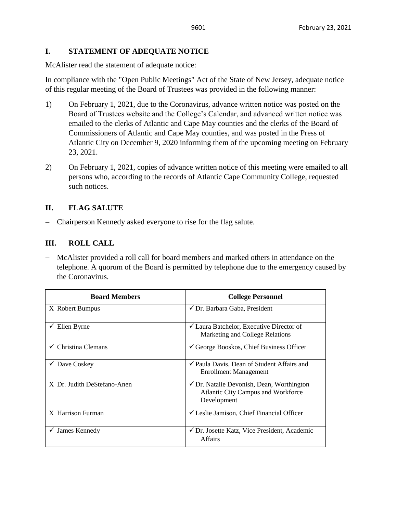## **I. STATEMENT OF ADEQUATE NOTICE**

McAlister read the statement of adequate notice:

In compliance with the "Open Public Meetings" Act of the State of New Jersey, adequate notice of this regular meeting of the Board of Trustees was provided in the following manner:

- 1) On February 1, 2021, due to the Coronavirus, advance written notice was posted on the Board of Trustees website and the College's Calendar, and advanced written notice was emailed to the clerks of Atlantic and Cape May counties and the clerks of the Board of Commissioners of Atlantic and Cape May counties, and was posted in the Press of Atlantic City on December 9, 2020 informing them of the upcoming meeting on February 23, 2021.
- 2) On February 1, 2021, copies of advance written notice of this meeting were emailed to all persons who, according to the records of Atlantic Cape Community College, requested such notices.

## **II. FLAG SALUTE**

− Chairperson Kennedy asked everyone to rise for the flag salute.

## **III. ROLL CALL**

− McAlister provided a roll call for board members and marked others in attendance on the telephone. A quorum of the Board is permitted by telephone due to the emergency caused by the Coronavirus.

| <b>Board Members</b>           | <b>College Personnel</b>                                                                                         |
|--------------------------------|------------------------------------------------------------------------------------------------------------------|
| X Robert Bumpus                | ✔ Dr. Barbara Gaba, President                                                                                    |
| Ellen Byrne<br>v.              | $\checkmark$ Laura Batchelor, Executive Director of<br>Marketing and College Relations                           |
| $\checkmark$ Christina Clemans | $\checkmark$ George Booskos, Chief Business Officer                                                              |
| $\checkmark$ Dave Coskey       | $\checkmark$ Paula Davis, Dean of Student Affairs and<br><b>Enrollment Management</b>                            |
| X Dr. Judith DeStefano-Anen    | $\checkmark$ Dr. Natalie Devonish, Dean, Worthington<br><b>Atlantic City Campus and Workforce</b><br>Development |
| X Harrison Furman              | $\checkmark$ Leslie Jamison, Chief Financial Officer                                                             |
| James Kennedy<br>v.            | ✓ Dr. Josette Katz, Vice President, Academic<br><b>Affairs</b>                                                   |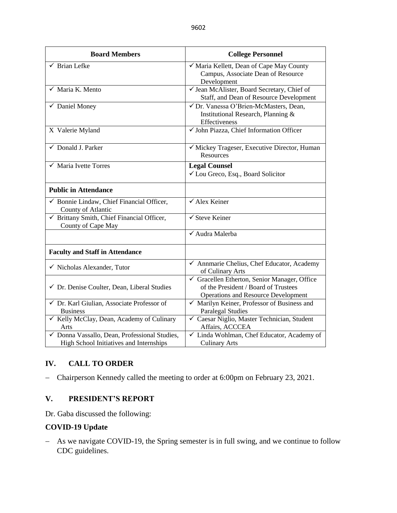| <b>Board Members</b>                                                                     | <b>College Personnel</b>                                                                                                         |  |  |
|------------------------------------------------------------------------------------------|----------------------------------------------------------------------------------------------------------------------------------|--|--|
| $\checkmark$ Brian Lefke                                                                 | √ Maria Kellett, Dean of Cape May County<br>Campus, Associate Dean of Resource<br>Development                                    |  |  |
| $\sqrt{\phantom{a}}$ Maria K. Mento                                                      | √ Jean McAlister, Board Secretary, Chief of<br>Staff, and Dean of Resource Development                                           |  |  |
| $\checkmark$ Daniel Money                                                                | √ Dr. Vanessa O'Brien-McMasters, Dean,<br>Institutional Research, Planning &<br>Effectiveness                                    |  |  |
| X Valerie Myland                                                                         | √ John Piazza, Chief Information Officer                                                                                         |  |  |
| ✓ Donald J. Parker                                                                       | √ Mickey Trageser, Executive Director, Human<br><b>Resources</b>                                                                 |  |  |
| $\checkmark$ Maria Ivette Torres                                                         | <b>Legal Counsel</b><br>✓ Lou Greco, Esq., Board Solicitor                                                                       |  |  |
| <b>Public in Attendance</b>                                                              |                                                                                                                                  |  |  |
| $\checkmark$ Bonnie Lindaw, Chief Financial Officer,<br>County of Atlantic               | $\sqrt{\text{Alex}}$ Keiner                                                                                                      |  |  |
| √ Brittany Smith, Chief Financial Officer,<br>County of Cape May                         | $\checkmark$ Steve Keiner                                                                                                        |  |  |
|                                                                                          | √ Audra Malerba                                                                                                                  |  |  |
| <b>Faculty and Staff in Attendance</b>                                                   |                                                                                                                                  |  |  |
| $\checkmark$ Nicholas Alexander, Tutor                                                   | $\overline{\checkmark}$ Annmarie Chelius, Chef Educator, Academy<br>of Culinary Arts                                             |  |  |
| ← Dr. Denise Coulter, Dean, Liberal Studies                                              | Gracellen Etherton, Senior Manager, Office<br>of the President / Board of Trustees<br><b>Operations and Resource Development</b> |  |  |
| √ Dr. Karl Giulian, Associate Professor of<br><b>Business</b>                            | $\checkmark$ Marilyn Keiner, Professor of Business and<br><b>Paralegal Studies</b>                                               |  |  |
| ✓ Kelly McClay, Dean, Academy of Culinary<br>Arts                                        | √ Caesar Niglio, Master Technician, Student<br>Affairs, ACCCEA                                                                   |  |  |
| √ Donna Vassallo, Dean, Professional Studies,<br>High School Initiatives and Internships | √ Linda Wohlman, Chef Educator, Academy of<br><b>Culinary Arts</b>                                                               |  |  |

# **IV. CALL TO ORDER**

− Chairperson Kennedy called the meeting to order at 6:00pm on February 23, 2021.

## **V. PRESIDENT'S REPORT**

Dr. Gaba discussed the following:

## **COVID-19 Update**

− As we navigate COVID-19, the Spring semester is in full swing, and we continue to follow CDC guidelines.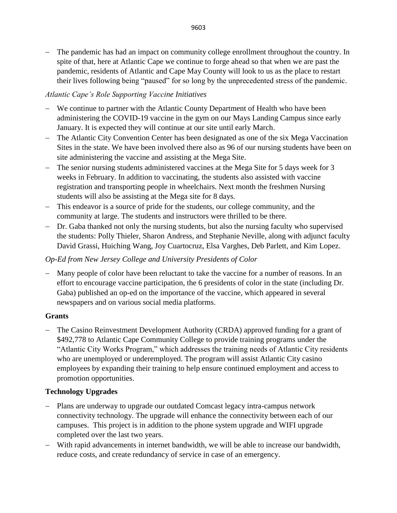− The pandemic has had an impact on community college enrollment throughout the country. In spite of that, here at Atlantic Cape we continue to forge ahead so that when we are past the pandemic, residents of Atlantic and Cape May County will look to us as the place to restart their lives following being "paused" for so long by the unprecedented stress of the pandemic.

# *Atlantic Cape's Role Supporting Vaccine Initiatives*

- − We continue to partner with the Atlantic County Department of Health who have been administering the COVID-19 vaccine in the gym on our Mays Landing Campus since early January. It is expected they will continue at our site until early March.
- − The Atlantic City Convention Center has been designated as one of the six Mega Vaccination Sites in the state. We have been involved there also as 96 of our nursing students have been on site administering the vaccine and assisting at the Mega Site.
- − The senior nursing students administered vaccines at the Mega Site for 5 days week for 3 weeks in February. In addition to vaccinating, the students also assisted with vaccine registration and transporting people in wheelchairs. Next month the freshmen Nursing students will also be assisting at the Mega site for 8 days.
- − This endeavor is a source of pride for the students, our college community, and the community at large. The students and instructors were thrilled to be there.
- − Dr. Gaba thanked not only the nursing students, but also the nursing faculty who supervised the students: Polly Thieler, Sharon Andress, and Stephanie Neville, along with adjunct faculty David Grassi, Huiching Wang, Joy Cuartocruz, Elsa Varghes, Deb Parlett, and Kim Lopez.

# *Op-Ed from New Jersey College and University Presidents of Color*

− Many people of color have been reluctant to take the vaccine for a number of reasons. In an effort to encourage vaccine participation, the 6 presidents of color in the state (including Dr. Gaba) published an op-ed on the importance of the vaccine, which appeared in several newspapers and on various social media platforms.

# **Grants**

− The Casino Reinvestment Development Authority (CRDA) approved funding for a grant of \$492,778 to Atlantic Cape Community College to provide training programs under the "Atlantic City Works Program," which addresses the training needs of Atlantic City residents who are unemployed or underemployed. The program will assist Atlantic City casino employees by expanding their training to help ensure continued employment and access to promotion opportunities.

# **Technology Upgrades**

- − Plans are underway to upgrade our outdated Comcast legacy intra-campus network connectivity technology. The upgrade will enhance the connectivity between each of our campuses. This project is in addition to the phone system upgrade and WIFI upgrade completed over the last two years.
- − With rapid advancements in internet bandwidth, we will be able to increase our bandwidth, reduce costs, and create redundancy of service in case of an emergency.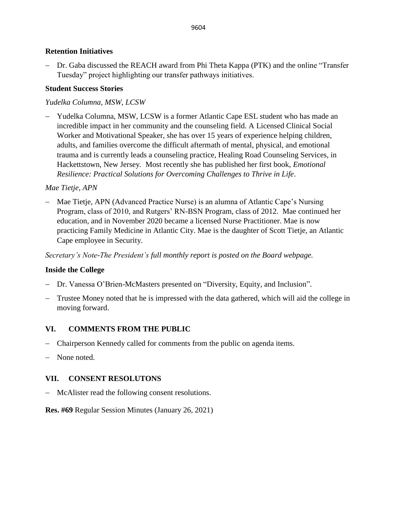### **Retention Initiatives**

− Dr. Gaba discussed the REACH award from Phi Theta Kappa (PTK) and the online "Transfer Tuesday" project highlighting our transfer pathways initiatives.

### **Student Success Stories**

### *Yudelka Columna, MSW, LCSW*

Yudelka Columna, MSW, LCSW is a former Atlantic Cape ESL student who has made an incredible impact in her community and the counseling field. A Licensed Clinical Social Worker and Motivational Speaker, she has over 15 years of experience helping children, adults, and families overcome the difficult aftermath of mental, physical, and emotional trauma and is currently leads a counseling practice, Healing Road Counseling Services, in Hackettstown, New Jersey. Most recently she has published her first book, *Emotional Resilience: Practical Solutions for Overcoming Challenges to Thrive in Life*.

### *Mae Tietje, APN*

− Mae Tietje, APN (Advanced Practice Nurse) is an alumna of Atlantic Cape's Nursing Program, class of 2010, and Rutgers' RN-BSN Program, class of 2012. Mae continued her education, and in November 2020 became a licensed Nurse Practitioner. Mae is now practicing Family Medicine in Atlantic City. Mae is the daughter of Scott Tietje, an Atlantic Cape employee in Security.

*Secretary's Note-The President's full monthly report is posted on the Board webpage.*

## **Inside the College**

- − Dr. Vanessa O'Brien-McMasters presented on "Diversity, Equity, and Inclusion".
- − Trustee Money noted that he is impressed with the data gathered, which will aid the college in moving forward.

## **VI. COMMENTS FROM THE PUBLIC**

- − Chairperson Kennedy called for comments from the public on agenda items.
- − None noted.

## **VII. CONSENT RESOLUTONS**

− McAlister read the following consent resolutions.

### **Res. #69** Regular Session Minutes (January 26, 2021)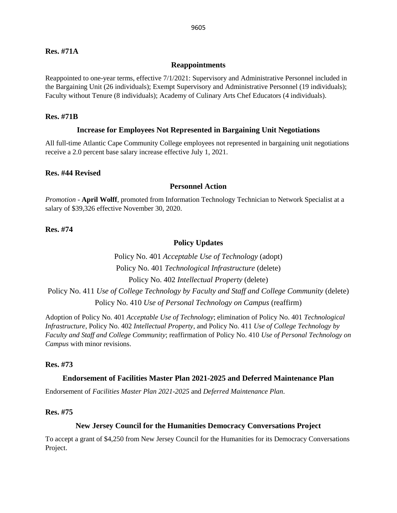### **Res. #71A**

#### **Reappointments**

Reappointed to one-year terms, effective 7/1/2021: Supervisory and Administrative Personnel included in the Bargaining Unit (26 individuals); Exempt Supervisory and Administrative Personnel (19 individuals); Faculty without Tenure (8 individuals); Academy of Culinary Arts Chef Educators (4 individuals).

#### **Res. #71B**

#### **Increase for Employees Not Represented in Bargaining Unit Negotiations**

All full-time Atlantic Cape Community College employees not represented in bargaining unit negotiations receive a 2.0 percent base salary increase effective July 1, 2021.

#### **Res. #44 Revised**

#### **Personnel Action**

*Promotion* - **April Wolff**, promoted from Information Technology Technician to Network Specialist at a salary of \$39,326 effective November 30, 2020.

**Res. #74**

### **Policy Updates**

Policy No. 401 *Acceptable Use of Technology* (adopt) Policy No. 401 *Technological Infrastructure* (delete) Policy No. 402 *Intellectual Property* (delete) Policy No. 411 *Use of College Technology by Faculty and Staff and College Community* (delete) Policy No. 410 *Use of Personal Technology on Campus* (reaffirm)

Adoption of Policy No. 401 *Acceptable Use of Technology*; elimination of Policy No. 401 *Technological Infrastructure*, Policy No. 402 *Intellectual Property*, and Policy No. 411 *Use of College Technology by Faculty and Staff and College Community*; reaffirmation of Policy No. 410 *Use of Personal Technology on Campus* with minor revisions.

#### **Res. #73**

#### **Endorsement of Facilities Master Plan 2021-2025 and Deferred Maintenance Plan**

Endorsement of *Facilities Master Plan 2021-2025* and *Deferred Maintenance Plan*.

#### **Res. #75**

### **New Jersey Council for the Humanities Democracy Conversations Project**

To accept a grant of \$4,250 from New Jersey Council for the Humanities for its Democracy Conversations Project.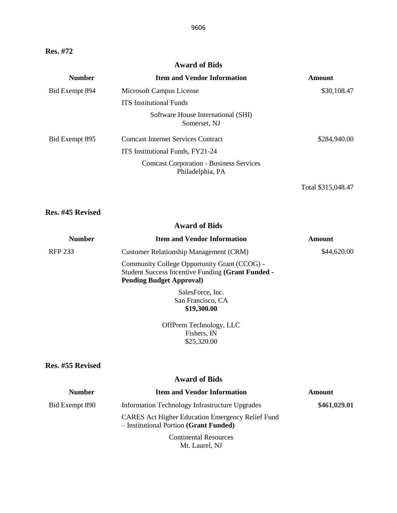# **Res. #72**

### **Award of Bids**

| <b>Number</b>  | <b>Item and Vendor Information</b>                                 | <b>Amount</b>      |
|----------------|--------------------------------------------------------------------|--------------------|
| Bid Exempt 894 | Microsoft Campus License                                           | \$30,108.47        |
|                | <b>ITS</b> Institutional Funds                                     |                    |
|                | Software House International (SHI)<br>Somerset, NJ                 |                    |
| Bid Exempt 895 | <b>Comcast Internet Services Contract</b>                          | \$284,940.00       |
|                | ITS Institutional Funds, FY21-24                                   |                    |
|                | <b>Comcast Corporation - Business Services</b><br>Philadelphia, PA |                    |
|                |                                                                    | Total \$315,048.47 |

# **Res. #45 Revised**

## **Award of Bids**

| <b>Number</b>  | <b>Item and Vendor Information</b>                                                                                                   | Amount      |
|----------------|--------------------------------------------------------------------------------------------------------------------------------------|-------------|
| <b>RFP 233</b> | <b>Customer Relationship Management (CRM)</b>                                                                                        | \$44,620.00 |
|                | Community College Opportunity Grant (CCOG) -<br>Student Success Incentive Funding (Grant Funded -<br><b>Pending Budget Approval)</b> |             |
|                | SalesForce, Inc.                                                                                                                     |             |
|                | San Francisco, CA                                                                                                                    |             |
|                | \$19,300.00                                                                                                                          |             |

OffPrem Technology, LLC Fishers, IN \$25,320.00

#### **Res. #55 Revised**

### **Award of Bids**

| <b>Number</b>  | <b>Item and Vendor Information</b>                                                                | <b>Amount</b> |
|----------------|---------------------------------------------------------------------------------------------------|---------------|
| Bid Exempt 890 | Information Technology Infrastructure Upgrades                                                    | \$461,029.01  |
|                | <b>CARES</b> Act Higher Education Emergency Relief Fund<br>- Institutional Portion (Grant Funded) |               |
|                | <b>Continental Resources</b>                                                                      |               |

Mt. Laurel, NJ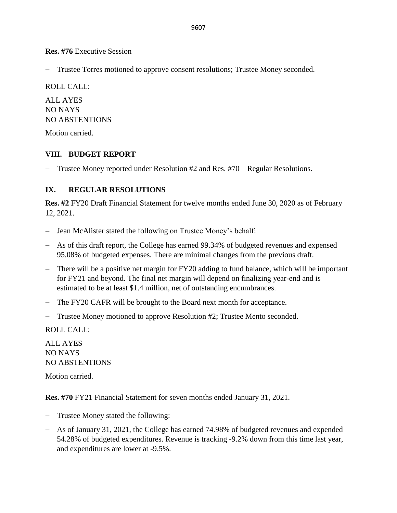**Res. #76** Executive Session

− Trustee Torres motioned to approve consent resolutions; Trustee Money seconded.

ROLL CALL:

ALL AYES NO NAYS NO ABSTENTIONS

Motion carried.

## **VIII. BUDGET REPORT**

− Trustee Money reported under Resolution #2 and Res. #70 – Regular Resolutions.

## **IX. REGULAR RESOLUTIONS**

**Res. #2** FY20 Draft Financial Statement for twelve months ended June 30, 2020 as of February 12, 2021.

- − Jean McAlister stated the following on Trustee Money's behalf:
- − As of this draft report, the College has earned 99.34% of budgeted revenues and expensed 95.08% of budgeted expenses. There are minimal changes from the previous draft.
- − There will be a positive net margin for FY20 adding to fund balance, which will be important for FY21 and beyond. The final net margin will depend on finalizing year-end and is estimated to be at least \$1.4 million, net of outstanding encumbrances.
- − The FY20 CAFR will be brought to the Board next month for acceptance.
- − Trustee Money motioned to approve Resolution #2; Trustee Mento seconded.

ROLL CALL:

ALL AYES NO NAYS NO ABSTENTIONS

Motion carried.

**Res. #70** FY21 Financial Statement for seven months ended January 31, 2021.

- − Trustee Money stated the following:
- − As of January 31, 2021, the College has earned 74.98% of budgeted revenues and expended 54.28% of budgeted expenditures. Revenue is tracking -9.2% down from this time last year, and expenditures are lower at -9.5%.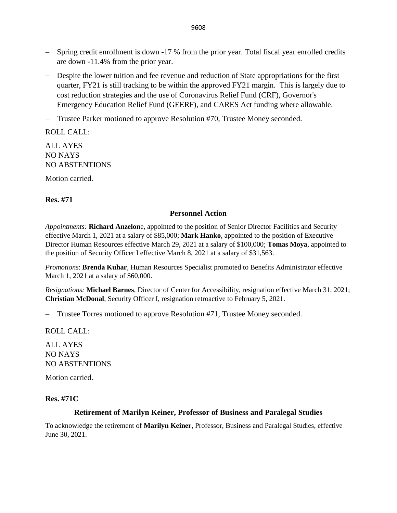- − Spring credit enrollment is down -17 % from the prior year. Total fiscal year enrolled credits are down -11.4% from the prior year.
- − Despite the lower tuition and fee revenue and reduction of State appropriations for the first quarter, FY21 is still tracking to be within the approved FY21 margin. This is largely due to cost reduction strategies and the use of Coronavirus Relief Fund (CRF), Governor's Emergency Education Relief Fund (GEERF), and CARES Act funding where allowable.
- − Trustee Parker motioned to approve Resolution #70, Trustee Money seconded.

ROLL CALL:

ALL AYES NO NAYS NO ABSTENTIONS

Motion carried.

### **Res. #71**

#### **Personnel Action**

*Appointments:* **Richard Anzelon**e, appointed to the position of Senior Director Facilities and Security effective March 1, 2021 at a salary of \$85,000; **Mark Hanko**, appointed to the position of Executive Director Human Resources effective March 29, 2021 at a salary of \$100,000; **Tomas Moya**, appointed to the position of Security Officer I effective March 8, 2021 at a salary of \$31,563.

*Promotions*: **Brenda Kuhar**, Human Resources Specialist promoted to Benefits Administrator effective March 1, 2021 at a salary of \$60,000.

*Resignations:* **Michael Barnes**, Director of Center for Accessibility, resignation effective March 31, 2021; **Christian McDonal**, Security Officer I, resignation retroactive to February 5, 2021.

− Trustee Torres motioned to approve Resolution #71, Trustee Money seconded.

ROLL CALL:

ALL AYES NO NAYS NO ABSTENTIONS

Motion carried.

### **Res. #71C**

### **Retirement of Marilyn Keiner, Professor of Business and Paralegal Studies**

To acknowledge the retirement of **Marilyn Keiner**, Professor, Business and Paralegal Studies, effective June 30, 2021.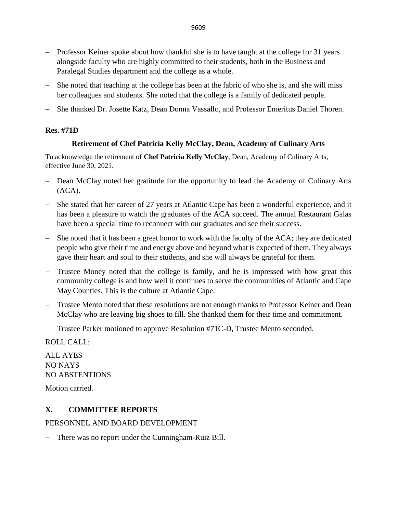- − Professor Keiner spoke about how thankful she is to have taught at the college for 31 years alongside faculty who are highly committed to their students, both in the Business and Paralegal Studies department and the college as a whole.
- She noted that teaching at the college has been at the fabric of who she is, and she will miss her colleagues and students. She noted that the college is a family of dedicated people.
- − She thanked Dr. Josette Katz, Dean Donna Vassallo, and Professor Emeritus Daniel Thoren.

## **Res. #71D**

## **Retirement of Chef Patricia Kelly McClay, Dean, Academy of Culinary Arts**

To acknowledge the retirement of **Chef Patricia Kelly McClay**, Dean, Academy of Culinary Arts, effective June 30, 2021.

- Dean McClay noted her gratitude for the opportunity to lead the Academy of Culinary Arts (ACA).
- − She stated that her career of 27 years at Atlantic Cape has been a wonderful experience, and it has been a pleasure to watch the graduates of the ACA succeed. The annual Restaurant Galas have been a special time to reconnect with our graduates and see their success.
- − She noted that it has been a great honor to work with the faculty of the ACA; they are dedicated people who give their time and energy above and beyond what is expected of them. They always gave their heart and soul to their students, and she will always be grateful for them.
- − Trustee Money noted that the college is family, and he is impressed with how great this community college is and how well it continues to serve the communities of Atlantic and Cape May Counties. This is the culture at Atlantic Cape.
- − Trustee Mento noted that these resolutions are not enough thanks to Professor Keiner and Dean McClay who are leaving big shoes to fill. She thanked them for their time and commitment.
- − Trustee Parker motioned to approve Resolution #71C-D, Trustee Mento seconded.

ROLL CALL:

ALL AYES NO NAYS NO ABSTENTIONS

Motion carried.

# **X. COMMITTEE REPORTS**

## PERSONNEL AND BOARD DEVELOPMENT

There was no report under the Cunningham-Ruiz Bill.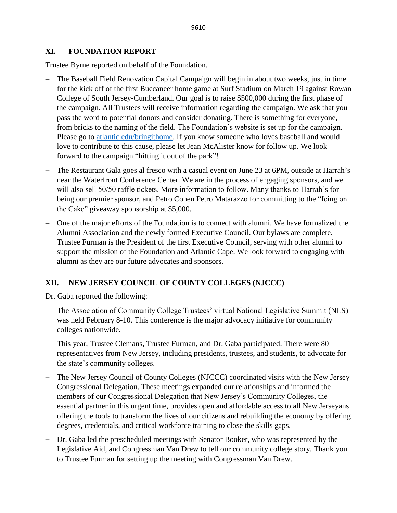### **XI. FOUNDATION REPORT**

Trustee Byrne reported on behalf of the Foundation.

- − The Baseball Field Renovation Capital Campaign will begin in about two weeks, just in time for the kick off of the first Buccaneer home game at Surf Stadium on March 19 against Rowan College of South Jersey-Cumberland. Our goal is to raise \$500,000 during the first phase of the campaign. All Trustees will receive information regarding the campaign. We ask that you pass the word to potential donors and consider donating. There is something for everyone, from bricks to the naming of the field. The Foundation's website is set up for the campaign. Please go to [atlantic.edu/bringithome.](http://www.atlantic.edu/bringithome) If you know someone who loves baseball and would love to contribute to this cause, please let Jean McAlister know for follow up. We look forward to the campaign "hitting it out of the park"!
- The Restaurant Gala goes al fresco with a casual event on June 23 at 6PM, outside at Harrah's near the Waterfront Conference Center. We are in the process of engaging sponsors, and we will also sell 50/50 raffle tickets. More information to follow. Many thanks to Harrah's for being our premier sponsor, and Petro Cohen Petro Matarazzo for committing to the "Icing on the Cake" giveaway sponsorship at \$5,000.
- − One of the major efforts of the Foundation is to connect with alumni. We have formalized the Alumni Association and the newly formed Executive Council. Our bylaws are complete. Trustee Furman is the President of the first Executive Council, serving with other alumni to support the mission of the Foundation and Atlantic Cape. We look forward to engaging with alumni as they are our future advocates and sponsors.

# **XII. NEW JERSEY COUNCIL OF COUNTY COLLEGES (NJCCC)**

Dr. Gaba reported the following:

- − The Association of Community College Trustees' virtual National Legislative Summit (NLS) was held February 8-10. This conference is the major advocacy initiative for community colleges nationwide.
- − This year, Trustee Clemans, Trustee Furman, and Dr. Gaba participated. There were 80 representatives from New Jersey, including presidents, trustees, and students, to advocate for the state's community colleges.
- − The New Jersey Council of County Colleges (NJCCC) coordinated visits with the New Jersey Congressional Delegation. These meetings expanded our relationships and informed the members of our Congressional Delegation that New Jersey's Community Colleges, the essential partner in this urgent time, provides open and affordable access to all New Jerseyans offering the tools to transform the lives of our citizens and rebuilding the economy by offering degrees, credentials, and critical workforce training to close the skills gaps.
- − Dr. Gaba led the prescheduled meetings with Senator Booker, who was represented by the Legislative Aid, and Congressman Van Drew to tell our community college story. Thank you to Trustee Furman for setting up the meeting with Congressman Van Drew.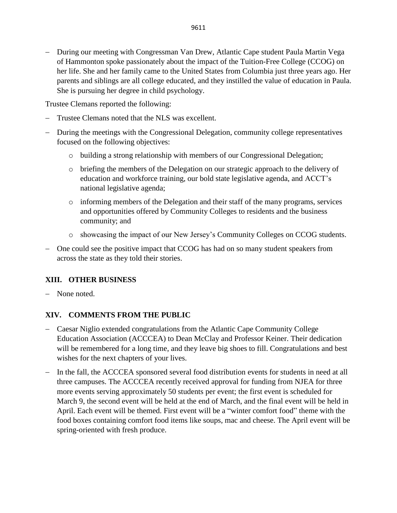Trustee Clemans reported the following:

- Trustee Clemans noted that the NLS was excellent.
- − During the meetings with the Congressional Delegation, community college representatives focused on the following objectives:
	- o building a strong relationship with members of our Congressional Delegation;
	- o briefing the members of the Delegation on our strategic approach to the delivery of education and workforce training, our bold state legislative agenda, and ACCT's national legislative agenda;
	- o informing members of the Delegation and their staff of the many programs, services and opportunities offered by Community Colleges to residents and the business community; and
	- o showcasing the impact of our New Jersey's Community Colleges on CCOG students.
- − One could see the positive impact that CCOG has had on so many student speakers from across the state as they told their stories.

# **XIII. OTHER BUSINESS**

− None noted.

# **XIV. COMMENTS FROM THE PUBLIC**

- − Caesar Niglio extended congratulations from the Atlantic Cape Community College Education Association (ACCCEA) to Dean McClay and Professor Keiner. Their dedication will be remembered for a long time, and they leave big shoes to fill. Congratulations and best wishes for the next chapters of your lives.
- − In the fall, the ACCCEA sponsored several food distribution events for students in need at all three campuses. The ACCCEA recently received approval for funding from NJEA for three more events serving approximately 50 students per event; the first event is scheduled for March 9, the second event will be held at the end of March, and the final event will be held in April. Each event will be themed. First event will be a "winter comfort food" theme with the food boxes containing comfort food items like soups, mac and cheese. The April event will be spring-oriented with fresh produce.